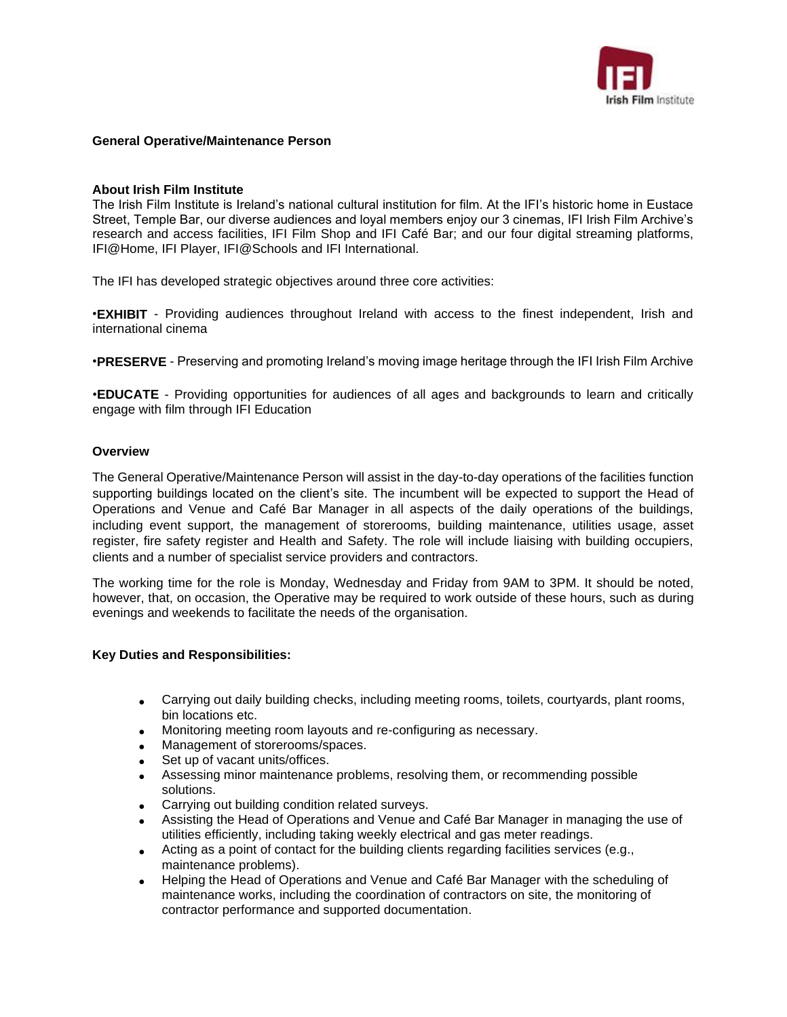

## **General Operative/Maintenance Person**

### **About Irish Film Institute**

The Irish Film Institute is Ireland's national cultural institution for film. At the IFI's historic home in Eustace Street, Temple Bar, our diverse audiences and loyal members enjoy our 3 cinemas, IFI Irish Film Archive's research and access facilities, IFI Film Shop and IFI Café Bar; and our four digital streaming platforms, IFI@Home, IFI Player, IFI@Schools and IFI International.

The IFI has developed strategic objectives around three core activities:

•**EXHIBIT** - Providing audiences throughout Ireland with access to the finest independent, Irish and international cinema

•**PRESERVE** - Preserving and promoting Ireland's moving image heritage through the IFI Irish Film Archive

•**EDUCATE** - Providing opportunities for audiences of all ages and backgrounds to learn and critically engage with film through IFI Education

#### **Overview**

The General Operative/Maintenance Person will assist in the day-to-day operations of the facilities function supporting buildings located on the client's site. The incumbent will be expected to support the Head of Operations and Venue and Café Bar Manager in all aspects of the daily operations of the buildings, including event support, the management of storerooms, building maintenance, utilities usage, asset register, fire safety register and Health and Safety. The role will include liaising with building occupiers, clients and a number of specialist service providers and contractors.

The working time for the role is Monday, Wednesday and Friday from 9AM to 3PM. It should be noted, however, that, on occasion, the Operative may be required to work outside of these hours, such as during evenings and weekends to facilitate the needs of the organisation.

### **Key Duties and Responsibilities:**

- Carrying out daily building checks, including meeting rooms, toilets, courtyards, plant rooms, bin locations etc.
- Monitoring meeting room layouts and re-configuring as necessary.
- Management of storerooms/spaces.
- Set up of vacant units/offices.
- Assessing minor maintenance problems, resolving them, or recommending possible solutions.
- Carrying out building condition related surveys.
- Assisting the Head of Operations and Venue and Café Bar Manager in managing the use of utilities efficiently, including taking weekly electrical and gas meter readings.
- Acting as a point of contact for the building clients regarding facilities services (e.g., maintenance problems).
- Helping the Head of Operations and Venue and Café Bar Manager with the scheduling of maintenance works, including the coordination of contractors on site, the monitoring of contractor performance and supported documentation.